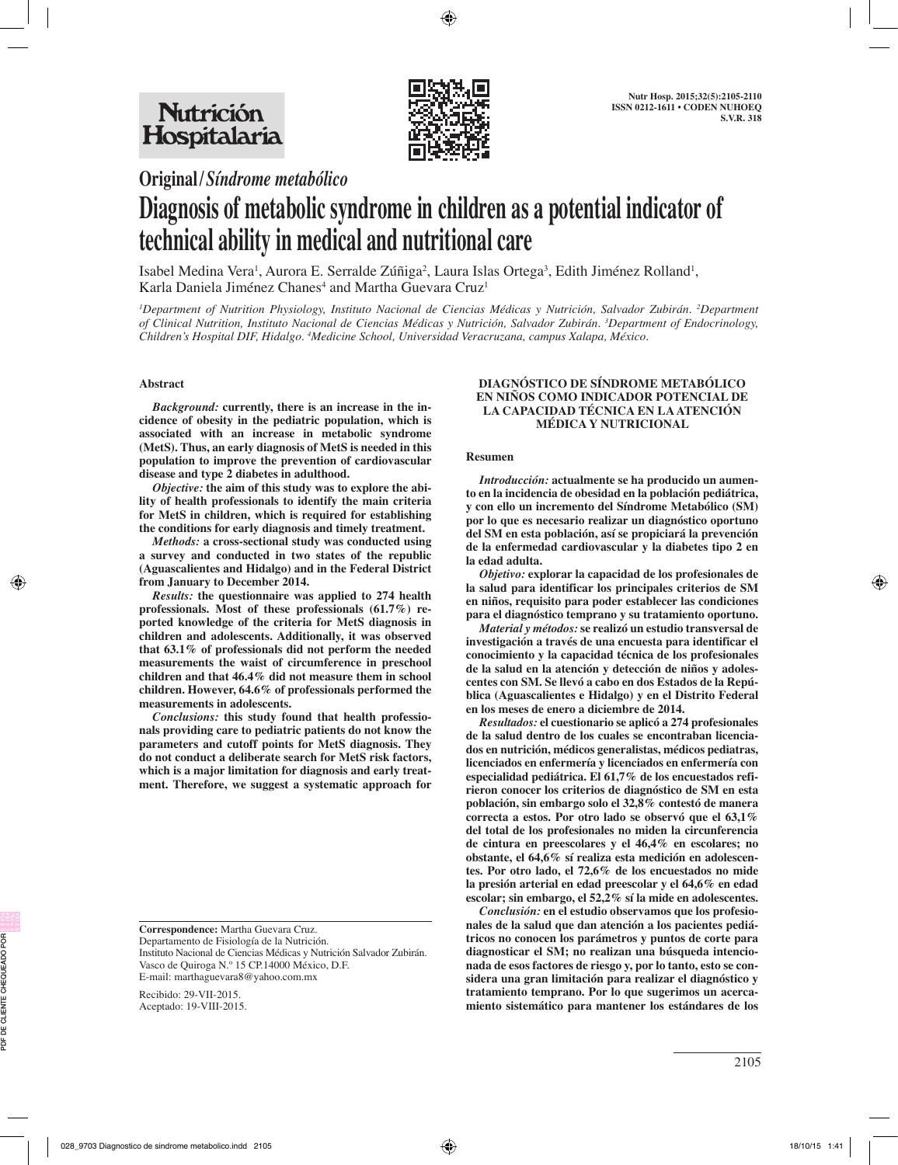

**Original/***Síndrome metabólico*

# **Diagnosis of metabolic syndrome in children as a potential indicator of technical ability in medical and nutritional care**

Isabel Medina Vera<sup>i</sup>, Aurora E. Serralde Zúñiga<sup>2</sup>, Laura Islas Ortega<sup>3</sup>, Edith Jiménez Rolland<sup>i</sup>, Karla Daniela Jiménez Chanes<sup>4</sup> and Martha Guevara Cruz<sup>1</sup>

*1 Department of Nutrition Physiology, Instituto Nacional de Ciencias Médicas y Nutrición, Salvador Zubirán. 2 Department of Clinical Nutrition, Instituto Nacional de Ciencias Médicas y Nutrición, Salvador Zubirán. 3 Department of Endocrinology, Children's Hospital DIF, Hidalgo. 4 Medicine School, Universidad Veracruzana, campus Xalapa, México.*

## **Abstract**

*Background:* **currently, there is an increase in the incidence of obesity in the pediatric population, which is associated with an increase in metabolic syndrome (MetS). Thus, an early diagnosis of MetS is needed in this population to improve the prevention of cardiovascular disease and type 2 diabetes in adulthood.** 

*Objective:* **the aim of this study was to explore the ability of health professionals to identify the main criteria for MetS in children, which is required for establishing the conditions for early diagnosis and timely treatment.**

*Methods:* **a cross-sectional study was conducted using a survey and conducted in two states of the republic (Aguascalientes and Hidalgo) and in the Federal District from January to December 2014.**

*Results:* **the questionnaire was applied to 274 health professionals. Most of these professionals (61.7%) reported knowledge of the criteria for MetS diagnosis in children and adolescents. Additionally, it was observed that 63.1% of professionals did not perform the needed measurements the waist of circumference in preschool children and that 46.4% did not measure them in school children. However, 64.6% of professionals performed the measurements in adolescents.** 

*Conclusions:* **this study found that health professionals providing care to pediatric patients do not know the parameters and cutoff points for MetS diagnosis. They do not conduct a deliberate search for MetS risk factors, which is a major limitation for diagnosis and early treatment. Therefore, we suggest a systematic approach for** 

**Correspondence:** Martha Guevara Cruz. Departamento de Fisiología de la Nutrición.

Instituto Nacional de Ciencias Médicas y Nutrición Salvador Zubirán. Vasco de Quiroga N.º 15 CP.14000 México, D.F. E-mail: marthaguevara8@yahoo.com.mx

Recibido: 29-VII-2015. Aceptado: 19-VIII-2015.

#### **DIAGNÓSTICO DE SÍNDROME METABÓLICO EN NIÑOS COMO INDICADOR POTENCIAL DE LA CAPACIDAD TÉCNICA EN LA ATENCIÓN MÉDICA Y NUTRICIONAL**

#### **Resumen**

*Introducción:* **actualmente se ha producido un aumento en la incidencia de obesidad en la población pediátrica, y con ello un incremento del Síndrome Metabólico (SM) por lo que es necesario realizar un diagnóstico oportuno del SM en esta población, así se propiciará la prevención de la enfermedad cardiovascular y la diabetes tipo 2 en la edad adulta.**

*Objetivo:* **explorar la capacidad de los profesionales de la salud para identificar los principales criterios de SM en niños, requisito para poder establecer las condiciones para el diagnóstico temprano y su tratamiento oportuno.**

*Material y métodos:* **se realizó un estudio transversal de investigación a través de una encuesta para identificar el conocimiento y la capacidad técnica de los profesionales de la salud en la atención y detección de niños y adolescentes con SM. Se llevó a cabo en dos Estados de la República (Aguascalientes e Hidalgo) y en el Distrito Federal en los meses de enero a diciembre de 2014.**

*Resultados:* **el cuestionario se aplicó a 274 profesionales de la salud dentro de los cuales se encontraban licenciados en nutrición, médicos generalistas, médicos pediatras, licenciados en enfermería y licenciados en enfermería con especialidad pediátrica. El 61,7% de los encuestados refirieron conocer los criterios de diagnóstico de SM en esta población, sin embargo solo el 32,8% contestó de manera correcta a estos. Por otro lado se observó que el 63,1% del total de los profesionales no miden la circunferencia de cintura en preescolares y el 46,4% en escolares; no obstante, el 64,6% sí realiza esta medición en adolescentes. Por otro lado, el 72,6% de los encuestados no mide la presión arterial en edad preescolar y el 64,6% en edad escolar; sin embargo, el 52,2% sí la mide en adolescentes.**

*Conclusión:* **en el estudio observamos que los profesionales de la salud que dan atención a los pacientes pediátricos no conocen los parámetros y puntos de corte para diagnosticar el SM; no realizan una búsqueda intencionada de esos factores de riesgo y, por lo tanto, esto se considera una gran limitación para realizar el diagnóstico y tratamiento temprano. Por lo que sugerimos un acercamiento sistemático para mantener los estándares de los**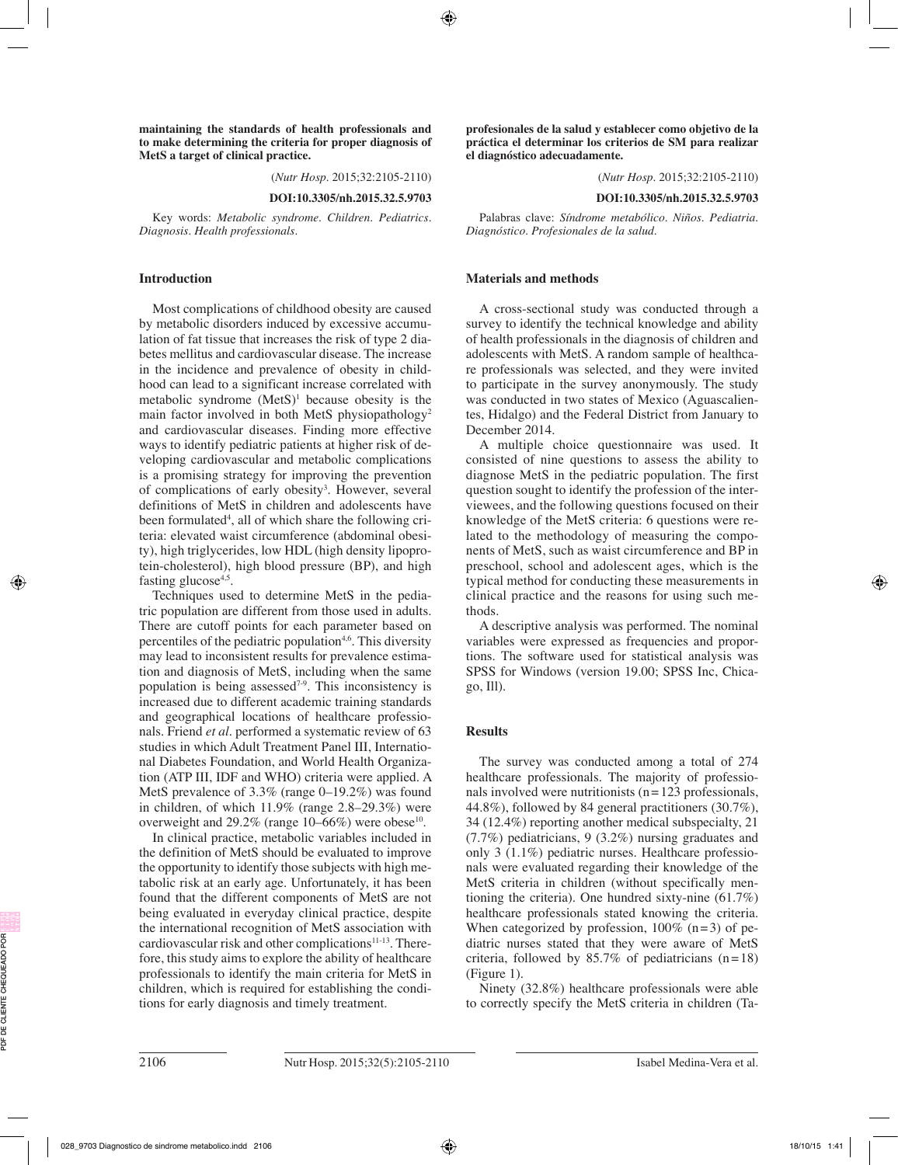**maintaining the standards of health professionals and to make determining the criteria for proper diagnosis of MetS a target of clinical practice.**

(*Nutr Hosp.* 2015;32:2105-2110)

**DOI:10.3305/nh.2015.32.5.9703**

Key words: *Metabolic syndrome. Children. Pediatrics. Diagnosis. Health professionals.*

## **Introduction**

Most complications of childhood obesity are caused by metabolic disorders induced by excessive accumulation of fat tissue that increases the risk of type 2 diabetes mellitus and cardiovascular disease. The increase in the incidence and prevalence of obesity in childhood can lead to a significant increase correlated with metabolic syndrome  $(Mets)^1$  because obesity is the main factor involved in both MetS physiopathology<sup>2</sup> and cardiovascular diseases. Finding more effective ways to identify pediatric patients at higher risk of developing cardiovascular and metabolic complications is a promising strategy for improving the prevention of complications of early obesity<sup>3</sup>. However, several definitions of MetS in children and adolescents have been formulated4 , all of which share the following criteria: elevated waist circumference (abdominal obesity), high triglycerides, low HDL (high density lipoprotein-cholesterol), high blood pressure (BP), and high fasting glucose<sup>4,5</sup>.

Techniques used to determine MetS in the pediatric population are different from those used in adults. There are cutoff points for each parameter based on percentiles of the pediatric population<sup>4,6</sup>. This diversity may lead to inconsistent results for prevalence estimation and diagnosis of MetS, including when the same population is being assessed<sup> $7-9$ </sup>. This inconsistency is increased due to different academic training standards and geographical locations of healthcare professionals. Friend *et al.* performed a systematic review of 63 studies in which Adult Treatment Panel III, International Diabetes Foundation, and World Health Organization (ATP III, IDF and WHO) criteria were applied. A MetS prevalence of 3.3% (range 0–19.2%) was found in children, of which 11.9% (range 2.8–29.3%) were overweight and  $29.2\%$  (range 10–66%) were obese<sup>10</sup>.

In clinical practice, metabolic variables included in the definition of MetS should be evaluated to improve the opportunity to identify those subjects with high metabolic risk at an early age. Unfortunately, it has been found that the different components of MetS are not being evaluated in everyday clinical practice, despite the international recognition of MetS association with cardiovascular risk and other complications<sup>11-13</sup>. Therefore, this study aims to explore the ability of healthcare professionals to identify the main criteria for MetS in children, which is required for establishing the conditions for early diagnosis and timely treatment.

**profesionales de la salud y establecer como objetivo de la práctica el determinar los criterios de SM para realizar el diagnóstico adecuadamente.**

(*Nutr Hosp.* 2015;32:2105-2110)

**DOI:10.3305/nh.2015.32.5.9703**

Palabras clave: *Síndrome metabólico. Niños. Pediatria. Diagnóstico. Profesionales de la salud.*

#### **Materials and methods**

A cross-sectional study was conducted through a survey to identify the technical knowledge and ability of health professionals in the diagnosis of children and adolescents with MetS. A random sample of healthcare professionals was selected, and they were invited to participate in the survey anonymously. The study was conducted in two states of Mexico (Aguascalientes, Hidalgo) and the Federal District from January to December 2014.

A multiple choice questionnaire was used. It consisted of nine questions to assess the ability to diagnose MetS in the pediatric population. The first question sought to identify the profession of the interviewees, and the following questions focused on their knowledge of the MetS criteria: 6 questions were related to the methodology of measuring the components of MetS, such as waist circumference and BP in preschool, school and adolescent ages, which is the typical method for conducting these measurements in clinical practice and the reasons for using such methods.

A descriptive analysis was performed. The nominal variables were expressed as frequencies and proportions. The software used for statistical analysis was SPSS for Windows (version 19.00; SPSS Inc, Chicago, Ill).

## **Results**

The survey was conducted among a total of 274 healthcare professionals. The majority of professionals involved were nutritionists  $(n=123$  professionals, 44.8%), followed by 84 general practitioners (30.7%), 34 (12.4%) reporting another medical subspecialty, 21 (7.7%) pediatricians, 9 (3.2%) nursing graduates and only 3 (1.1%) pediatric nurses. Healthcare professionals were evaluated regarding their knowledge of the MetS criteria in children (without specifically mentioning the criteria). One hundred sixty-nine (61.7%) healthcare professionals stated knowing the criteria. When categorized by profession,  $100\%$  (n=3) of pediatric nurses stated that they were aware of MetS criteria, followed by  $85.7\%$  of pediatricians (n=18) (Figure 1).

Ninety (32.8%) healthcare professionals were able to correctly specify the MetS criteria in children (Ta-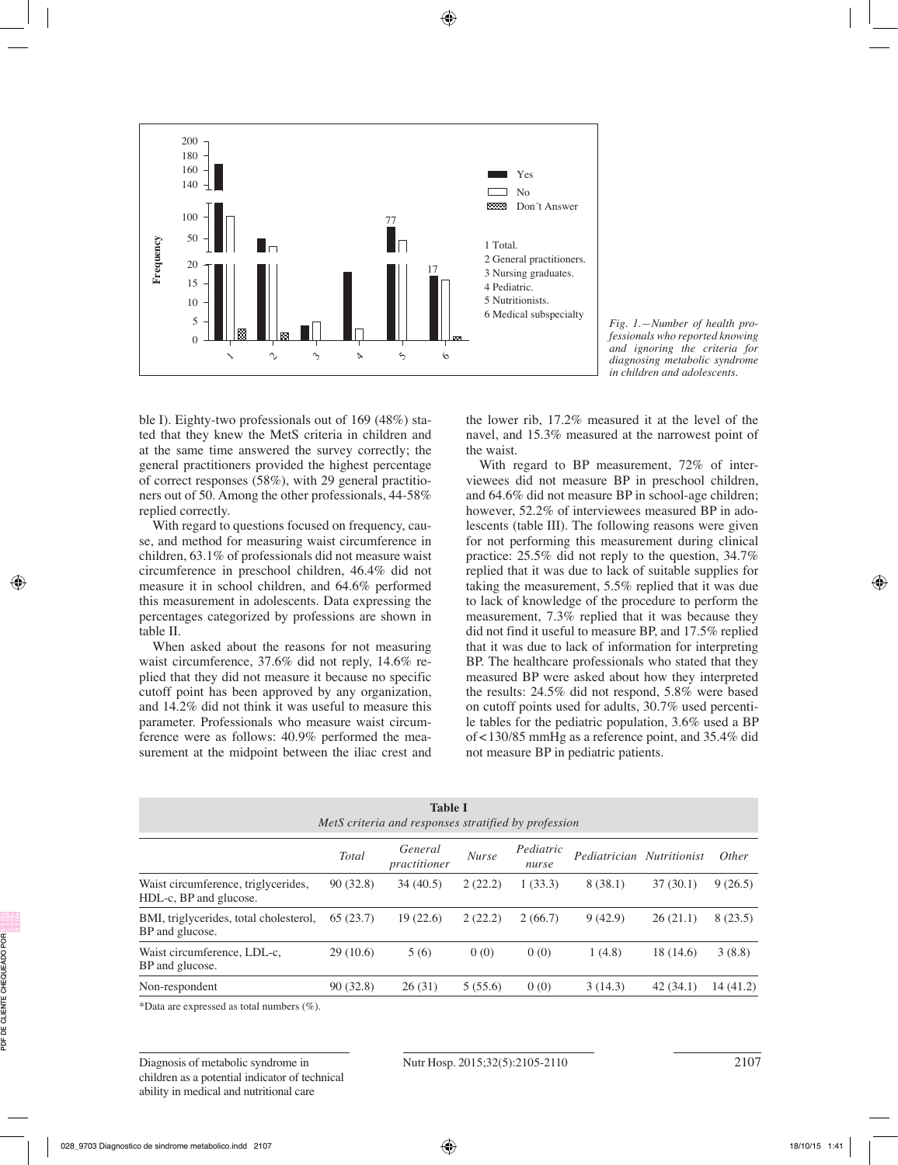



ble I). Eighty-two professionals out of 169 (48%) stated that they knew the MetS criteria in children and at the same time answered the survey correctly; the general practitioners provided the highest percentage of correct responses (58%), with 29 general practitioners out of 50. Among the other professionals, 44-58% replied correctly.

With regard to questions focused on frequency, cause, and method for measuring waist circumference in children, 63.1% of professionals did not measure waist circumference in preschool children, 46.4% did not measure it in school children, and 64.6% performed this measurement in adolescents. Data expressing the percentages categorized by professions are shown in table II.

When asked about the reasons for not measuring waist circumference, 37.6% did not reply, 14.6% replied that they did not measure it because no specific cutoff point has been approved by any organization, and 14.2% did not think it was useful to measure this parameter. Professionals who measure waist circumference were as follows: 40.9% performed the measurement at the midpoint between the iliac crest and the lower rib, 17.2% measured it at the level of the navel, and 15.3% measured at the narrowest point of the waist.

With regard to BP measurement, 72% of interviewees did not measure BP in preschool children, and 64.6% did not measure BP in school-age children; however, 52.2% of interviewees measured BP in adolescents (table III). The following reasons were given for not performing this measurement during clinical practice: 25.5% did not reply to the question, 34.7% replied that it was due to lack of suitable supplies for taking the measurement, 5.5% replied that it was due to lack of knowledge of the procedure to perform the measurement, 7.3% replied that it was because they did not find it useful to measure BP, and 17.5% replied that it was due to lack of information for interpreting BP. The healthcare professionals who stated that they measured BP were asked about how they interpreted the results: 24.5% did not respond, 5.8% were based on cutoff points used for adults, 30.7% used percentile tables for the pediatric population, 3.6% used a BP of<130/85 mmHg as a reference point, and 35.4% did not measure BP in pediatric patients.

| <b>Table I</b><br>MetS criteria and responses stratified by profession |          |                         |              |                    |                           |           |              |  |
|------------------------------------------------------------------------|----------|-------------------------|--------------|--------------------|---------------------------|-----------|--------------|--|
|                                                                        | Total    | General<br>practitioner | <b>Nurse</b> | Pediatric<br>nurse | Pediatrician Nutritionist |           | <i>Other</i> |  |
| Waist circumference, triglycerides,<br>HDL-c, BP and glucose.          | 90(32.8) | 34(40.5)                | 2(22.2)      | 1(33.3)            | 8(38.1)                   | 37(30.1)  | 9(26.5)      |  |
| BMI, triglycerides, total cholesterol,<br>BP and glucose.              | 65(23.7) | 19(22.6)                | 2(22.2)      | 2(66.7)            | 9(42.9)                   | 26(21.1)  | 8(23.5)      |  |
| Waist circumference, LDL-c,<br>BP and glucose.                         | 29(10.6) | 5(6)                    | 0(0)         | 0(0)               | 1(4.8)                    | 18 (14.6) | 3(8.8)       |  |
| Non-respondent                                                         | 90(32.8) | 26(31)                  | 5(55.6)      | 0(0)               | 3(14.3)                   | 42(34.1)  | 14(41.2)     |  |

\*Data are expressed as total numbers (%).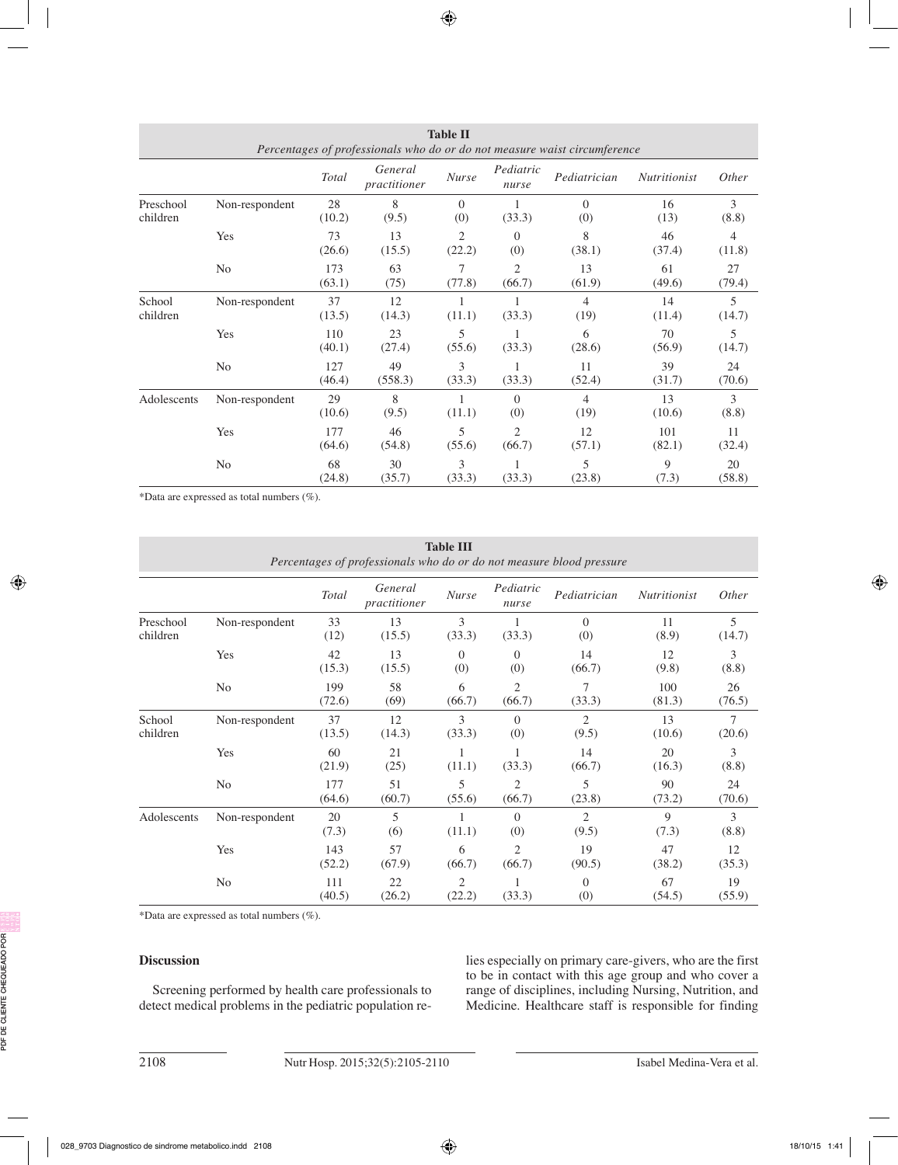| Percentages of professionals who do or do not measure waist circumference |                |               |                         |                 |                          |                        |                     |              |
|---------------------------------------------------------------------------|----------------|---------------|-------------------------|-----------------|--------------------------|------------------------|---------------------|--------------|
|                                                                           |                | <b>Total</b>  | General<br>practitioner | <b>Nurse</b>    | Pediatric<br>nurse       | Pediatrician           | <b>Nutritionist</b> | Other        |
| Preschool<br>children                                                     | Non-respondent | 28<br>(10.2)  | 8<br>(9.5)              | $\Omega$<br>(0) | (33.3)                   | $\Omega$<br>(0)        | 16<br>(13)          | 3<br>(8.8)   |
|                                                                           | Yes            | 73<br>(26.6)  | 13<br>(15.5)            | 2<br>(22.2)     | $\Omega$<br>(0)          | 8<br>(38.1)            | 46<br>(37.4)        | 4<br>(11.8)  |
|                                                                           | N <sub>0</sub> | 173<br>(63.1) | 63<br>(75)              | 7<br>(77.8)     | $\overline{2}$<br>(66.7) | 13<br>(61.9)           | 61<br>(49.6)        | 27<br>(79.4) |
| School<br>children                                                        | Non-respondent | 37<br>(13.5)  | 12<br>(14.3)            | (11.1)          | (33.3)                   | $\overline{4}$<br>(19) | 14<br>(11.4)        | 5<br>(14.7)  |
|                                                                           | Yes            | 110<br>(40.1) | 23<br>(27.4)            | 5<br>(55.6)     | (33.3)                   | 6<br>(28.6)            | 70<br>(56.9)        | 5<br>(14.7)  |
|                                                                           | N <sub>0</sub> | 127<br>(46.4) | 49<br>(558.3)           | 3<br>(33.3)     | (33.3)                   | 11<br>(52.4)           | 39<br>(31.7)        | 24<br>(70.6) |
| Adolescents                                                               | Non-respondent | 29<br>(10.6)  | 8<br>(9.5)              | (11.1)          | $\Omega$<br>(0)          | 4<br>(19)              | 13<br>(10.6)        | 3<br>(8.8)   |
|                                                                           | Yes            | 177<br>(64.6) | 46<br>(54.8)            | 5<br>(55.6)     | 2<br>(66.7)              | 12<br>(57.1)           | 101<br>(82.1)       | 11<br>(32.4) |
|                                                                           | N <sub>o</sub> | 68<br>(24.8)  | 30<br>(35.7)            | 3<br>(33.3)     | (33.3)                   | 5<br>(23.8)            | 9<br>(7.3)          | 20<br>(58.8) |

**Table II**

\*Data are expressed as total numbers (%).

| <b>Table III</b><br>Percentages of professionals who do or do not measure blood pressure |                |               |                         |                 |                          |                 |                     |              |  |
|------------------------------------------------------------------------------------------|----------------|---------------|-------------------------|-----------------|--------------------------|-----------------|---------------------|--------------|--|
|                                                                                          |                | Total         | General<br>practitioner | <b>Nurse</b>    | Pediatric<br>nurse       | Pediatrician    | <b>Nutritionist</b> | Other        |  |
| Preschool<br>children                                                                    | Non-respondent | 33<br>(12)    | 13<br>(15.5)            | 3<br>(33.3)     | 1<br>(33.3)              | $\Omega$<br>(0) | 11<br>(8.9)         | 5<br>(14.7)  |  |
|                                                                                          | Yes            | 42<br>(15.3)  | 13<br>(15.5)            | $\Omega$<br>(0) | $\Omega$<br>(0)          | 14<br>(66.7)    | 12<br>(9.8)         | 3<br>(8.8)   |  |
|                                                                                          | N <sub>o</sub> | 199<br>(72.6) | 58<br>(69)              | 6<br>(66.7)     | $\overline{2}$<br>(66.7) | 7<br>(33.3)     | 100<br>(81.3)       | 26<br>(76.5) |  |
| School<br>children                                                                       | Non-respondent | 37<br>(13.5)  | 12<br>(14.3)            | 3<br>(33.3)     | $\Omega$<br>(0)          | 2<br>(9.5)      | 13<br>(10.6)        | 7<br>(20.6)  |  |
|                                                                                          | Yes            | 60<br>(21.9)  | 21<br>(25)              | (11.1)          | (33.3)                   | 14<br>(66.7)    | 20<br>(16.3)        | 3<br>(8.8)   |  |
|                                                                                          | N <sub>0</sub> | 177<br>(64.6) | 51<br>(60.7)            | 5<br>(55.6)     | $\overline{2}$<br>(66.7) | 5<br>(23.8)     | 90<br>(73.2)        | 24<br>(70.6) |  |
| Adolescents                                                                              | Non-respondent | 20<br>(7.3)   | 5<br>(6)                | (11.1)          | $\Omega$<br>(0)          | 2<br>(9.5)      | 9<br>(7.3)          | 3<br>(8.8)   |  |
|                                                                                          | Yes            | 143<br>(52.2) | 57<br>(67.9)            | 6<br>(66.7)     | 2<br>(66.7)              | 19<br>(90.5)    | 47<br>(38.2)        | 12<br>(35.3) |  |
|                                                                                          | N <sub>0</sub> | 111<br>(40.5) | 22<br>(26.2)            | 2<br>(22.2)     | 1<br>(33.3)              | $\Omega$<br>(0) | 67<br>(54.5)        | 19<br>(55.9) |  |

\*Data are expressed as total numbers (%).

## **Discussion**

Screening performed by health care professionals to detect medical problems in the pediatric population relies especially on primary care-givers, who are the first to be in contact with this age group and who cover a range of disciplines, including Nursing, Nutrition, and Medicine. Healthcare staff is responsible for finding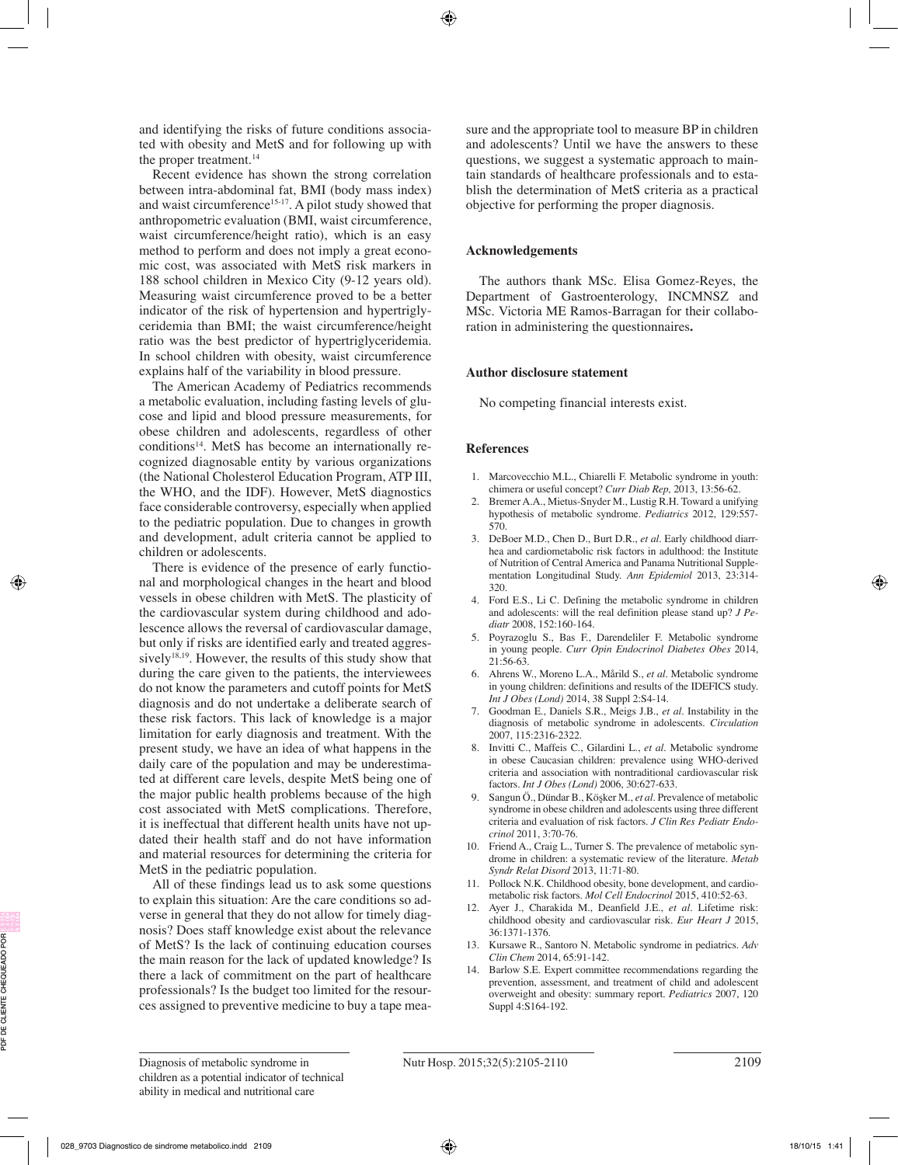and identifying the risks of future conditions associated with obesity and MetS and for following up with the proper treatment.<sup>14</sup>

Recent evidence has shown the strong correlation between intra-abdominal fat, BMI (body mass index) and waist circumference<sup>15-17</sup>. A pilot study showed that anthropometric evaluation (BMI, waist circumference, waist circumference/height ratio), which is an easy method to perform and does not imply a great economic cost, was associated with MetS risk markers in 188 school children in Mexico City (9-12 years old). Measuring waist circumference proved to be a better indicator of the risk of hypertension and hypertriglyceridemia than BMI; the waist circumference/height ratio was the best predictor of hypertriglyceridemia. In school children with obesity, waist circumference explains half of the variability in blood pressure.

The American Academy of Pediatrics recommends a metabolic evaluation, including fasting levels of glucose and lipid and blood pressure measurements, for obese children and adolescents, regardless of other conditions<sup>14</sup>. MetS has become an internationally recognized diagnosable entity by various organizations (the National Cholesterol Education Program, ATP III, the WHO, and the IDF). However, MetS diagnostics face considerable controversy, especially when applied to the pediatric population. Due to changes in growth and development, adult criteria cannot be applied to children or adolescents.

There is evidence of the presence of early functional and morphological changes in the heart and blood vessels in obese children with MetS. The plasticity of the cardiovascular system during childhood and adolescence allows the reversal of cardiovascular damage, but only if risks are identified early and treated aggressively<sup>18,19</sup>. However, the results of this study show that during the care given to the patients, the interviewees do not know the parameters and cutoff points for MetS diagnosis and do not undertake a deliberate search of these risk factors. This lack of knowledge is a major limitation for early diagnosis and treatment. With the present study, we have an idea of what happens in the daily care of the population and may be underestimated at different care levels, despite MetS being one of the major public health problems because of the high cost associated with MetS complications. Therefore, it is ineffectual that different health units have not updated their health staff and do not have information and material resources for determining the criteria for MetS in the pediatric population.

All of these findings lead us to ask some questions to explain this situation: Are the care conditions so adverse in general that they do not allow for timely diagnosis? Does staff knowledge exist about the relevance of MetS? Is the lack of continuing education courses the main reason for the lack of updated knowledge? Is there a lack of commitment on the part of healthcare professionals? Is the budget too limited for the resources assigned to preventive medicine to buy a tape measure and the appropriate tool to measure BP in children and adolescents? Until we have the answers to these questions, we suggest a systematic approach to maintain standards of healthcare professionals and to establish the determination of MetS criteria as a practical objective for performing the proper diagnosis.

#### **Acknowledgements**

The authors thank MSc. Elisa Gomez-Reyes, the Department of Gastroenterology, INCMNSZ and MSc. Victoria ME Ramos-Barragan for their collaboration in administering the questionnaires**.**

## **Author disclosure statement**

No competing financial interests exist.

## **References**

- 1. Marcovecchio M.L., Chiarelli F. Metabolic syndrome in youth: chimera or useful concept? *Curr Diab Rep,* 2013, 13:56-62.
- 2. Bremer A.A., Mietus-Snyder M., Lustig R.H. Toward a unifying hypothesis of metabolic syndrome. *Pediatrics* 2012, 129:557- 570.
- 3. DeBoer M.D., Chen D., Burt D.R., *et al.* Early childhood diarrhea and cardiometabolic risk factors in adulthood: the Institute of Nutrition of Central America and Panama Nutritional Supplementation Longitudinal Study. *Ann Epidemiol* 2013, 23:314- 320.
- 4. Ford E.S., Li C. Defining the metabolic syndrome in children and adolescents: will the real definition please stand up? *J Pediatr* 2008, 152:160-164.
- 5. Poyrazoglu S., Bas F., Darendeliler F. Metabolic syndrome in young people. *Curr Opin Endocrinol Diabetes Obes* 2014, 21:56-63.
- 6. Ahrens W., Moreno L.A., Mårild S., *et al.* Metabolic syndrome in young children: definitions and results of the IDEFICS study. *Int J Obes (Lond)* 2014, 38 Suppl 2:S4-14.
- 7. Goodman E., Daniels S.R., Meigs J.B., *et al.* Instability in the diagnosis of metabolic syndrome in adolescents. *Circulation*  2007, 115:2316-2322.
- 8. Invitti C., Maffeis C., Gilardini L., *et al.* Metabolic syndrome in obese Caucasian children: prevalence using WHO-derived criteria and association with nontraditional cardiovascular risk factors. *Int J Obes (Lond)* 2006, 30:627-633.
- 9. Sangun Ö., Dündar B., Köşker M., *et al.* Prevalence of metabolic syndrome in obese children and adolescents using three different criteria and evaluation of risk factors. *J Clin Res Pediatr Endocrinol* 2011, 3:70-76.
- 10. Friend A., Craig L., Turner S. The prevalence of metabolic syndrome in children: a systematic review of the literature. *Metab Syndr Relat Disord* 2013, 11:71-80.
- Pollock N.K. Childhood obesity, bone development, and cardiometabolic risk factors. *Mol Cell Endocrinol* 2015, 410:52-63.
- 12. Ayer J., Charakida M., Deanfield J.E., *et al.* Lifetime risk: childhood obesity and cardiovascular risk. *Eur Heart J* 2015, 36:1371-1376.
- 13. Kursawe R., Santoro N. Metabolic syndrome in pediatrics. *Adv Clin Chem* 2014, 65:91-142.
- 14. Barlow S.E. Expert committee recommendations regarding the prevention, assessment, and treatment of child and adolescent overweight and obesity: summary report. *Pediatrics* 2007, 120 Suppl 4:S164-192.